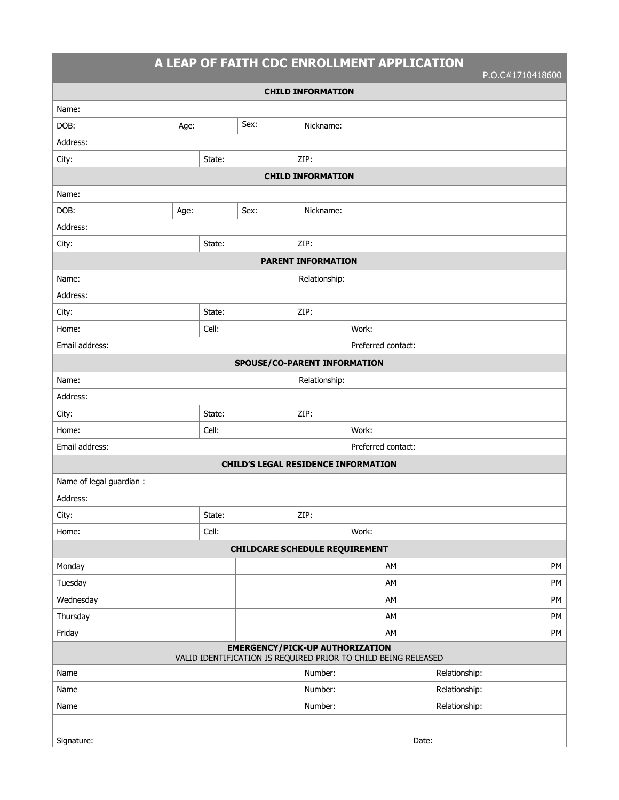# **A LEAP OF FAITH CDC ENROLLMENT APPLICATION**

P.O.C#1710418600

|                          |      |        |                                                                                                          | <b>CHILD INFORMATION</b>  |                    |       | $1.00000$ $1.00000$ |    |
|--------------------------|------|--------|----------------------------------------------------------------------------------------------------------|---------------------------|--------------------|-------|---------------------|----|
| Name:                    |      |        |                                                                                                          |                           |                    |       |                     |    |
| DOB:                     | Age: |        | Sex:                                                                                                     | Nickname:                 |                    |       |                     |    |
| Address:                 |      |        |                                                                                                          |                           |                    |       |                     |    |
| City:                    |      | State: |                                                                                                          | ZIP:                      |                    |       |                     |    |
|                          |      |        |                                                                                                          | <b>CHILD INFORMATION</b>  |                    |       |                     |    |
| Name:                    |      |        |                                                                                                          |                           |                    |       |                     |    |
| DOB:                     | Age: |        | Sex:                                                                                                     | Nickname:                 |                    |       |                     |    |
| Address:                 |      |        |                                                                                                          |                           |                    |       |                     |    |
| City:                    |      | State: |                                                                                                          | ZIP:                      |                    |       |                     |    |
|                          |      |        |                                                                                                          | <b>PARENT INFORMATION</b> |                    |       |                     |    |
| Name:                    |      |        |                                                                                                          | Relationship:             |                    |       |                     |    |
| Address:                 |      |        |                                                                                                          |                           |                    |       |                     |    |
| City:                    |      | State: |                                                                                                          | ZIP:                      |                    |       |                     |    |
| Home:                    |      | Cell:  |                                                                                                          | Work:                     |                    |       |                     |    |
| Email address:           |      |        | Preferred contact:                                                                                       |                           |                    |       |                     |    |
|                          |      |        | SPOUSE/CO-PARENT INFORMATION                                                                             |                           |                    |       |                     |    |
| Name:                    |      |        |                                                                                                          | Relationship:             |                    |       |                     |    |
| Address:                 |      |        |                                                                                                          |                           |                    |       |                     |    |
| City:                    |      | State: |                                                                                                          | ZIP:                      |                    |       |                     |    |
| Home:                    |      | Cell:  |                                                                                                          |                           | Work:              |       |                     |    |
| Email address:           |      |        |                                                                                                          |                           | Preferred contact: |       |                     |    |
|                          |      |        | <b>CHILD'S LEGAL RESIDENCE INFORMATION</b>                                                               |                           |                    |       |                     |    |
| Name of legal guardian : |      |        |                                                                                                          |                           |                    |       |                     |    |
| Address:                 |      |        |                                                                                                          |                           |                    |       |                     |    |
| City:                    |      | State: |                                                                                                          | ZIP:                      |                    |       |                     |    |
| Home:                    |      | Cell:  |                                                                                                          |                           | Work:              |       |                     |    |
|                          |      |        | <b>CHILDCARE SCHEDULE REQUIREMENT</b>                                                                    |                           |                    |       |                     |    |
| Monday                   |      |        |                                                                                                          |                           | AM                 |       |                     | PM |
| Tuesday                  |      |        |                                                                                                          |                           | AM                 |       |                     | PM |
| Wednesday                |      |        |                                                                                                          |                           | AM                 |       |                     | PM |
| Thursday                 |      |        |                                                                                                          |                           | AM                 |       |                     | PM |
| Friday                   |      |        |                                                                                                          |                           | AM                 |       |                     | PM |
|                          |      |        | <b>EMERGENCY/PICK-UP AUTHORIZATION</b><br>VALID IDENTIFICATION IS REQUIRED PRIOR TO CHILD BEING RELEASED |                           |                    |       |                     |    |
| Name                     |      |        |                                                                                                          | Number:                   |                    |       | Relationship:       |    |
| Name                     |      |        |                                                                                                          | Number:                   |                    |       | Relationship:       |    |
| Name                     |      |        |                                                                                                          | Number:                   |                    |       | Relationship:       |    |
|                          |      |        |                                                                                                          |                           |                    |       |                     |    |
| Signature:               |      |        |                                                                                                          |                           |                    | Date: |                     |    |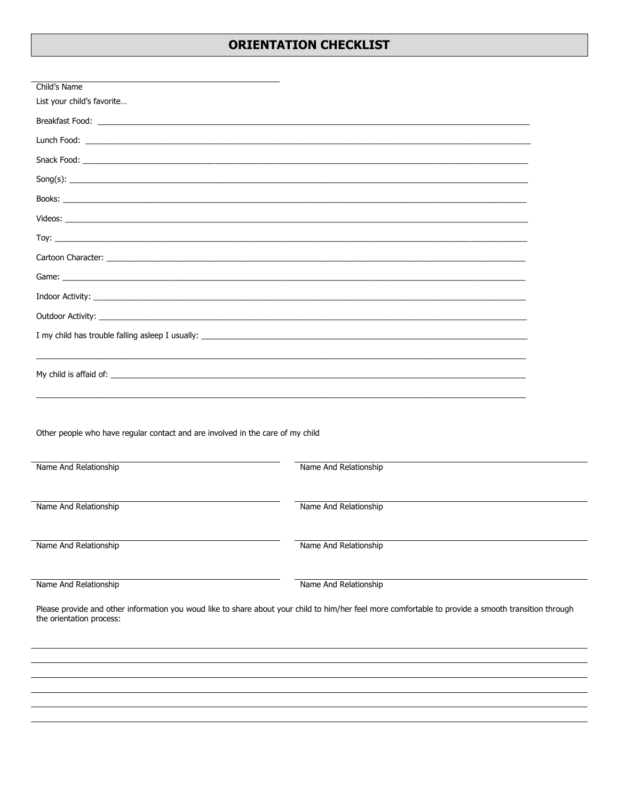## **ORIENTATION CHECKLIST**

| Child's Name                                                                                                                                                                                                                         |                                                                                                                                                      |
|--------------------------------------------------------------------------------------------------------------------------------------------------------------------------------------------------------------------------------------|------------------------------------------------------------------------------------------------------------------------------------------------------|
| List your child's favorite                                                                                                                                                                                                           |                                                                                                                                                      |
|                                                                                                                                                                                                                                      |                                                                                                                                                      |
|                                                                                                                                                                                                                                      |                                                                                                                                                      |
|                                                                                                                                                                                                                                      |                                                                                                                                                      |
|                                                                                                                                                                                                                                      |                                                                                                                                                      |
|                                                                                                                                                                                                                                      |                                                                                                                                                      |
| Videos: North American Commission and Commission and Commission and Commission and Commission and Commission and Commission and Commission and Commission and Commission and Commission and Commission and Commission and Comm       |                                                                                                                                                      |
|                                                                                                                                                                                                                                      |                                                                                                                                                      |
|                                                                                                                                                                                                                                      |                                                                                                                                                      |
|                                                                                                                                                                                                                                      |                                                                                                                                                      |
|                                                                                                                                                                                                                                      |                                                                                                                                                      |
| Outdoor Activity: the contract of the contract of the contract of the contract of the contract of the contract of the contract of the contract of the contract of the contract of the contract of the contract of the contract       |                                                                                                                                                      |
|                                                                                                                                                                                                                                      |                                                                                                                                                      |
|                                                                                                                                                                                                                                      |                                                                                                                                                      |
| My child is affaid of: <u>the contract of the contract of the contract of the contract of the contract of the contract of the contract of the contract of the contract of the contract of the contract of the contract of the co</u> |                                                                                                                                                      |
|                                                                                                                                                                                                                                      |                                                                                                                                                      |
|                                                                                                                                                                                                                                      |                                                                                                                                                      |
| Other people who have regular contact and are involved in the care of my child                                                                                                                                                       |                                                                                                                                                      |
|                                                                                                                                                                                                                                      |                                                                                                                                                      |
| Name And Relationship                                                                                                                                                                                                                | Name And Relationship                                                                                                                                |
|                                                                                                                                                                                                                                      |                                                                                                                                                      |
| Name And Relationship                                                                                                                                                                                                                | Name And Relationship                                                                                                                                |
|                                                                                                                                                                                                                                      |                                                                                                                                                      |
| Name And Relationship                                                                                                                                                                                                                | Name And Relationship                                                                                                                                |
|                                                                                                                                                                                                                                      |                                                                                                                                                      |
| Name And Relationship                                                                                                                                                                                                                | Name And Relationship                                                                                                                                |
| the orientation process:                                                                                                                                                                                                             | Please provide and other information you woud like to share about your child to him/her feel more comfortable to provide a smooth transition through |
|                                                                                                                                                                                                                                      |                                                                                                                                                      |
|                                                                                                                                                                                                                                      |                                                                                                                                                      |
|                                                                                                                                                                                                                                      |                                                                                                                                                      |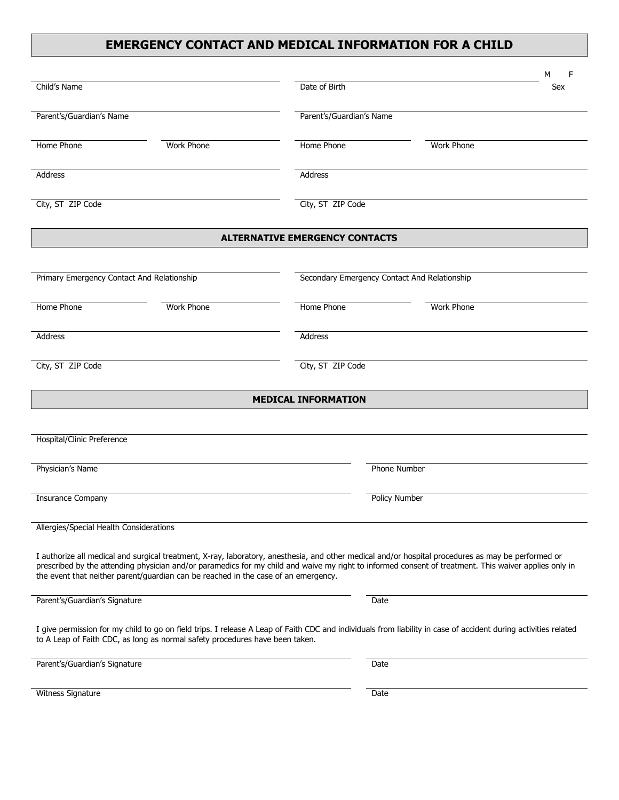## **EMERGENCY CONTACT AND MEDICAL INFORMATION FOR A CHILD**

| Date of Birth<br>Parent's/Guardian's Name<br>Home Phone<br>Work Phone<br>Address<br>City, ST ZIP Code<br><b>ALTERNATIVE EMERGENCY CONTACTS</b><br>Secondary Emergency Contact And Relationship<br>Home Phone<br>Work Phone<br><b>Address</b>                                                                                                                                                      | Sex  |  |  |  |
|---------------------------------------------------------------------------------------------------------------------------------------------------------------------------------------------------------------------------------------------------------------------------------------------------------------------------------------------------------------------------------------------------|------|--|--|--|
|                                                                                                                                                                                                                                                                                                                                                                                                   |      |  |  |  |
|                                                                                                                                                                                                                                                                                                                                                                                                   |      |  |  |  |
|                                                                                                                                                                                                                                                                                                                                                                                                   |      |  |  |  |
|                                                                                                                                                                                                                                                                                                                                                                                                   |      |  |  |  |
|                                                                                                                                                                                                                                                                                                                                                                                                   |      |  |  |  |
|                                                                                                                                                                                                                                                                                                                                                                                                   |      |  |  |  |
|                                                                                                                                                                                                                                                                                                                                                                                                   |      |  |  |  |
|                                                                                                                                                                                                                                                                                                                                                                                                   |      |  |  |  |
|                                                                                                                                                                                                                                                                                                                                                                                                   |      |  |  |  |
| City, ST ZIP Code                                                                                                                                                                                                                                                                                                                                                                                 |      |  |  |  |
| <b>MEDICAL INFORMATION</b>                                                                                                                                                                                                                                                                                                                                                                        |      |  |  |  |
|                                                                                                                                                                                                                                                                                                                                                                                                   |      |  |  |  |
|                                                                                                                                                                                                                                                                                                                                                                                                   |      |  |  |  |
| <b>Phone Number</b>                                                                                                                                                                                                                                                                                                                                                                               |      |  |  |  |
| Policy Number                                                                                                                                                                                                                                                                                                                                                                                     |      |  |  |  |
|                                                                                                                                                                                                                                                                                                                                                                                                   |      |  |  |  |
| I authorize all medical and surgical treatment, X-ray, laboratory, anesthesia, and other medical and/or hospital procedures as may be performed or<br>prescribed by the attending physician and/or paramedics for my child and waive my right to informed consent of treatment. This waiver applies only in<br>the event that neither parent/guardian can be reached in the case of an emergency. |      |  |  |  |
| Date                                                                                                                                                                                                                                                                                                                                                                                              |      |  |  |  |
| I give permission for my child to go on field trips. I release A Leap of Faith CDC and individuals from liability in case of accident during activities related                                                                                                                                                                                                                                   |      |  |  |  |
|                                                                                                                                                                                                                                                                                                                                                                                                   |      |  |  |  |
| Date                                                                                                                                                                                                                                                                                                                                                                                              |      |  |  |  |
|                                                                                                                                                                                                                                                                                                                                                                                                   | Date |  |  |  |